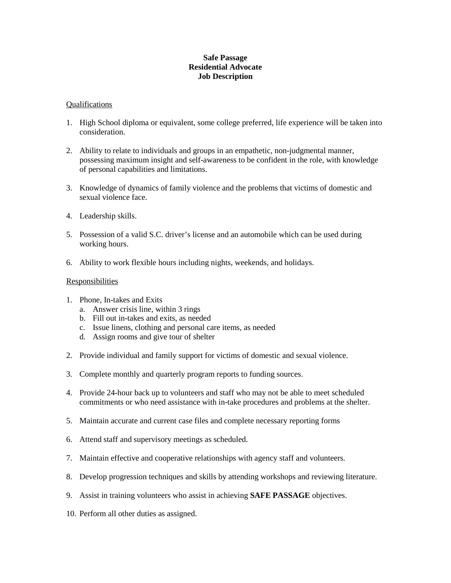### **Safe Passage Residential Advocate Job Description**

#### Qualifications

- 1. High School diploma or equivalent, some college preferred, life experience will be taken into consideration.
- 2. Ability to relate to individuals and groups in an empathetic, non-judgmental manner, possessing maximum insight and self-awareness to be confident in the role, with knowledge of personal capabilities and limitations.
- 3. Knowledge of dynamics of family violence and the problems that victims of domestic and sexual violence face.
- 4. Leadership skills.
- 5. Possession of a valid S.C. driver's license and an automobile which can be used during working hours.
- 6. Ability to work flexible hours including nights, weekends, and holidays.

### Responsibilities

- 1. Phone, In-takes and Exits
	- a. Answer crisis line, within 3 rings
	- b. Fill out in-takes and exits, as needed
	- c. Issue linens, clothing and personal care items, as needed
	- d. Assign rooms and give tour of shelter
- 2. Provide individual and family support for victims of domestic and sexual violence.
- 3. Complete monthly and quarterly program reports to funding sources.
- 4. Provide 24-hour back up to volunteers and staff who may not be able to meet scheduled commitments or who need assistance with in-take procedures and problems at the shelter.
- 5. Maintain accurate and current case files and complete necessary reporting forms
- 6. Attend staff and supervisory meetings as scheduled.
- 7. Maintain effective and cooperative relationships with agency staff and volunteers.
- 8. Develop progression techniques and skills by attending workshops and reviewing literature.
- 9. Assist in training volunteers who assist in achieving **SAFE PASSAGE** objectives.
- 10. Perform all other duties as assigned.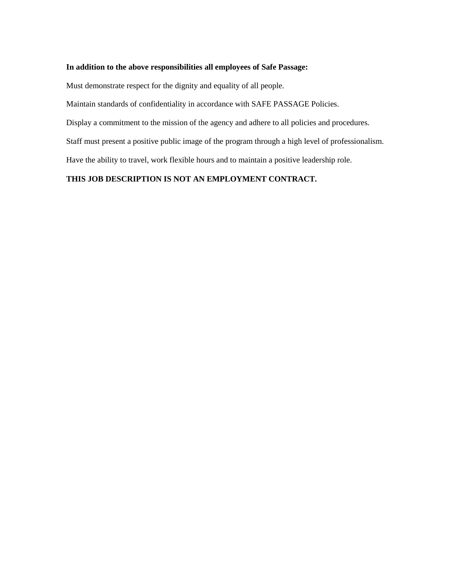# **In addition to the above responsibilities all employees of Safe Passage:**

Must demonstrate respect for the dignity and equality of all people.

Maintain standards of confidentiality in accordance with SAFE PASSAGE Policies.

Display a commitment to the mission of the agency and adhere to all policies and procedures.

Staff must present a positive public image of the program through a high level of professionalism.

Have the ability to travel, work flexible hours and to maintain a positive leadership role.

## **THIS JOB DESCRIPTION IS NOT AN EMPLOYMENT CONTRACT.**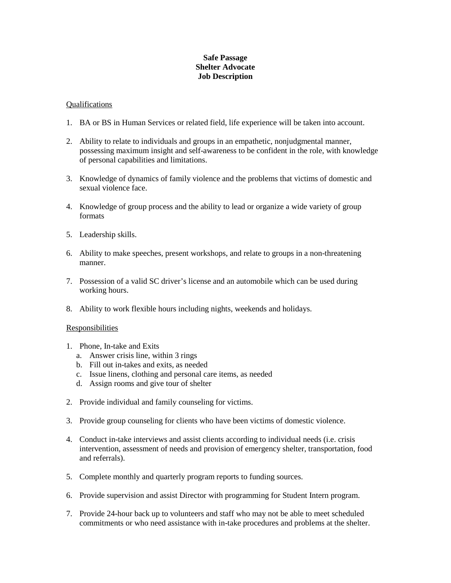### **Safe Passage Shelter Advocate Job Description**

### Qualifications

- 1. BA or BS in Human Services or related field, life experience will be taken into account.
- 2. Ability to relate to individuals and groups in an empathetic, nonjudgmental manner, possessing maximum insight and self-awareness to be confident in the role, with knowledge of personal capabilities and limitations.
- 3. Knowledge of dynamics of family violence and the problems that victims of domestic and sexual violence face.
- 4. Knowledge of group process and the ability to lead or organize a wide variety of group formats
- 5. Leadership skills.
- 6. Ability to make speeches, present workshops, and relate to groups in a non-threatening manner.
- 7. Possession of a valid SC driver's license and an automobile which can be used during working hours.
- 8. Ability to work flexible hours including nights, weekends and holidays.

#### Responsibilities

- 1. Phone, In-take and Exits
	- a. Answer crisis line, within 3 rings
	- b. Fill out in-takes and exits, as needed
	- c. Issue linens, clothing and personal care items, as needed
	- d. Assign rooms and give tour of shelter
- 2. Provide individual and family counseling for victims.
- 3. Provide group counseling for clients who have been victims of domestic violence.
- 4. Conduct in-take interviews and assist clients according to individual needs (i.e. crisis intervention, assessment of needs and provision of emergency shelter, transportation, food and referrals).
- 5. Complete monthly and quarterly program reports to funding sources.
- 6. Provide supervision and assist Director with programming for Student Intern program.
- 7. Provide 24-hour back up to volunteers and staff who may not be able to meet scheduled commitments or who need assistance with in-take procedures and problems at the shelter.